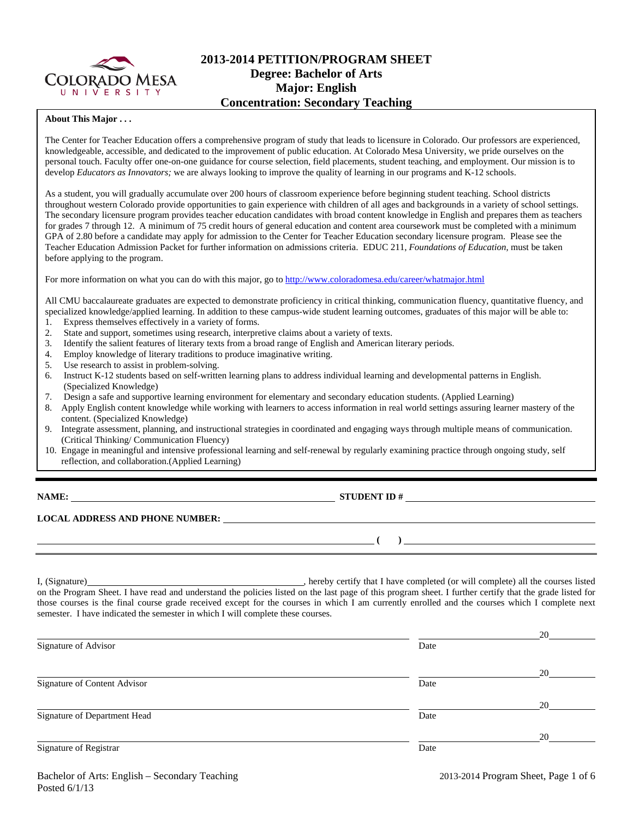

# **2013-2014 PETITION/PROGRAM SHEET Degree: Bachelor of Arts Major: English Concentration: Secondary Teaching**

#### **About This Major . . .**

The Center for Teacher Education offers a comprehensive program of study that leads to licensure in Colorado. Our professors are experienced, knowledgeable, accessible, and dedicated to the improvement of public education. At Colorado Mesa University, we pride ourselves on the personal touch. Faculty offer one-on-one guidance for course selection, field placements, student teaching, and employment. Our mission is to develop *Educators as Innovators;* we are always looking to improve the quality of learning in our programs and K-12 schools.

As a student, you will gradually accumulate over 200 hours of classroom experience before beginning student teaching. School districts throughout western Colorado provide opportunities to gain experience with children of all ages and backgrounds in a variety of school settings. The secondary licensure program provides teacher education candidates with broad content knowledge in English and prepares them as teachers for grades 7 through 12. A minimum of 75 credit hours of general education and content area coursework must be completed with a minimum GPA of 2.80 before a candidate may apply for admission to the Center for Teacher Education secondary licensure program. Please see the Teacher Education Admission Packet for further information on admissions criteria. EDUC 211, *Foundations of Education*, must be taken before applying to the program.

For more information on what you can do with this major, go to http://www.coloradomesa.edu/career/whatmajor.html

All CMU baccalaureate graduates are expected to demonstrate proficiency in critical thinking, communication fluency, quantitative fluency, and specialized knowledge/applied learning. In addition to these campus-wide student learning outcomes, graduates of this major will be able to: 1. Express themselves effectively in a variety of forms.

- 2. State and support, sometimes using research, interpretive claims about a variety of texts.
- 3. Identify the salient features of literary texts from a broad range of English and American literary periods.
- 4. Employ knowledge of literary traditions to produce imaginative writing.
- 5. Use research to assist in problem-solving.
- 6. Instruct K-12 students based on self-written learning plans to address individual learning and developmental patterns in English. (Specialized Knowledge)
- 7. Design a safe and supportive learning environment for elementary and secondary education students. (Applied Learning)
- 8. Apply English content knowledge while working with learners to access information in real world settings assuring learner mastery of the content. (Specialized Knowledge)
- 9. Integrate assessment, planning, and instructional strategies in coordinated and engaging ways through multiple means of communication. (Critical Thinking/ Communication Fluency)
- 10. Engage in meaningful and intensive professional learning and self-renewal by regularly examining practice through ongoing study, self reflection, and collaboration.(Applied Learning)

| NAME |  |
|------|--|
|------|--|

**NAMES IN STUDENT ID #** 

 **( )** 

## **LOCAL ADDRESS AND PHONE NUMBER:**

I, (Signature) , hereby certify that I have completed (or will complete) all the courses listed on the Program Sheet. I have read and understand the policies listed on the last page of this program sheet. I further certify that the grade listed for those courses is the final course grade received except for the courses in which I am currently enrolled and the courses which I complete next semester. I have indicated the semester in which I will complete these courses.

| Signature of Advisor         | Date | 20 |
|------------------------------|------|----|
|                              |      | 20 |
| Signature of Content Advisor | Date |    |
|                              |      | 20 |
| Signature of Department Head | Date |    |
|                              |      | 20 |
| Signature of Registrar       | Date |    |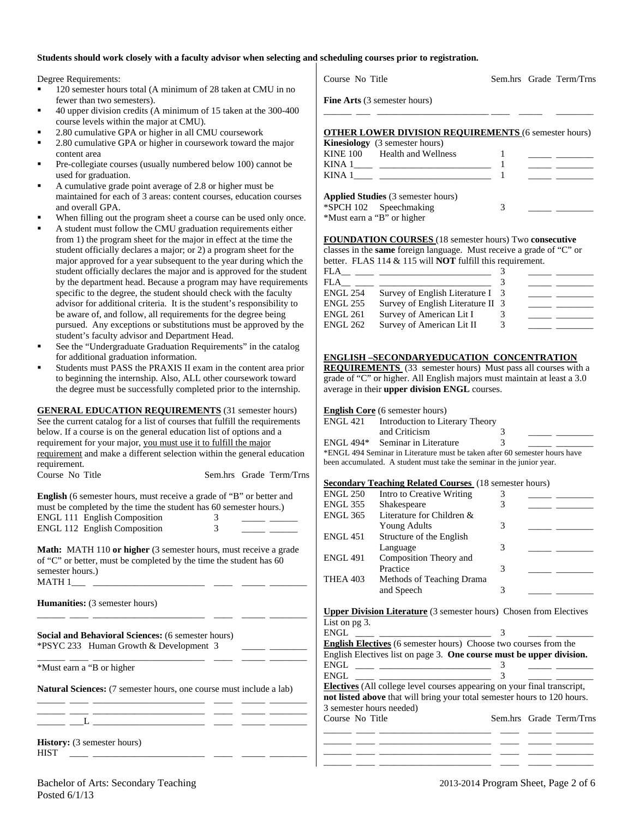#### **Students should work closely with a faculty advisor when selecting and scheduling courses prior to registration.**

Degree Requirements:

- 120 semester hours total (A minimum of 28 taken at CMU in no fewer than two semesters).
- 40 upper division credits (A minimum of 15 taken at the 300-400 course levels within the major at CMU).
- 2.80 cumulative GPA or higher in all CMU coursework
- 2.80 cumulative GPA or higher in coursework toward the major content area
- Pre-collegiate courses (usually numbered below 100) cannot be used for graduation.
- A cumulative grade point average of 2.8 or higher must be maintained for each of 3 areas: content courses, education courses and overall GPA.
- When filling out the program sheet a course can be used only once.
- A student must follow the CMU graduation requirements either from 1) the program sheet for the major in effect at the time the student officially declares a major; or 2) a program sheet for the major approved for a year subsequent to the year during which the student officially declares the major and is approved for the student by the department head. Because a program may have requirements specific to the degree, the student should check with the faculty advisor for additional criteria. It is the student's responsibility to be aware of, and follow, all requirements for the degree being pursued. Any exceptions or substitutions must be approved by the student's faculty advisor and Department Head.
- See the "Undergraduate Graduation Requirements" in the catalog for additional graduation information.
- Students must PASS the PRAXIS II exam in the content area prior to beginning the internship. Also, ALL other coursework toward the degree must be successfully completed prior to the internship.

**GENERAL EDUCATION REQUIREMENTS** (31 semester hours) See the current catalog for a list of courses that fulfill the requirements below. If a course is on the general education list of options and a requirement for your major, you must use it to fulfill the major requirement and make a different selection within the general education requirement. Course No Title Sem.hrs Grade Term/Trns

| <b>English</b> (6 semester hours, must receive a grade of "B" or better and |  |
|-----------------------------------------------------------------------------|--|
| must be completed by the time the student has 60 semester hours.)           |  |
| <b>ENGL 111 English Composition</b>                                         |  |
| <b>ENGL 112 English Composition</b>                                         |  |

**Math:** MATH 110 **or higher** (3 semester hours, must receive a grade of "C" or better, must be completed by the time the student has 60 semester hours.)  $MATH 1$ 

\_\_\_\_\_\_ \_\_\_\_ \_\_\_\_\_\_\_\_\_\_\_\_\_\_\_\_\_\_\_\_\_\_\_\_ \_\_\_\_ \_\_\_\_\_ \_\_\_\_\_\_\_\_

\_\_\_\_\_\_ \_\_\_\_ \_\_\_\_\_\_\_\_\_\_\_\_\_\_\_\_\_\_\_\_\_\_\_\_ \_\_\_\_ \_\_\_\_\_ \_\_\_\_\_\_\_\_

**Humanities:** (3 semester hours)

**Social and Behavioral Sciences:** (6 semester hours) \*PSYC 233 Human Growth & Development 3 \_\_\_\_\_ \_\_\_\_\_\_\_\_

\*Must earn a "B or higher

**Natural Sciences:** (7 semester hours, one course must include a lab) \_\_\_\_\_\_ \_\_\_\_ \_\_\_\_\_\_\_\_\_\_\_\_\_\_\_\_\_\_\_\_\_\_\_\_ \_\_\_\_ \_\_\_\_\_ \_\_\_\_\_\_\_\_

\_\_\_\_\_\_ \_\_\_\_ \_\_\_\_\_\_\_\_\_\_\_\_\_\_\_\_\_\_\_\_\_\_\_\_ \_\_\_\_ \_\_\_\_\_ \_\_\_\_\_\_\_\_  $_{-}$   $_{-}$   $_{-}$   $_{-}$   $_{-}$   $_{-}$   $_{-}$ 

**History:** (3 semester hours) HIST \_\_\_\_ \_\_\_\_\_\_\_\_\_\_\_\_\_\_\_\_\_\_\_\_\_\_\_\_ \_\_\_\_ \_\_\_\_\_ \_\_\_\_\_\_\_\_

| <b>Fine Arts</b> (3 semester hours)                         |
|-------------------------------------------------------------|
|                                                             |
| <b>OTHER LOWER DIVISION REQUIREMENTS (6 semester hours)</b> |
| $\mathbf{Kinomial}_{\mathbf{A}}$ (2 competer hours)         |

|        | $\sum_{i=1}^{n}$                        |  |
|--------|-----------------------------------------|--|
|        | KINE 100 Health and Wellness            |  |
| KINA 1 |                                         |  |
| KINA 1 |                                         |  |
|        | $A$ probabilized $(2$ comparison bound. |  |

Course No Title Sem.hrs Grade Term/Trns

|                            | <b>Applied Studies</b> (3 semester hours) |  |  |
|----------------------------|-------------------------------------------|--|--|
|                            | *SPCH 102 Speechmaking                    |  |  |
| *Must earn a "B" or higher |                                           |  |  |

**FOUNDATION COURSES** (18 semester hours) Two **consecutive** classes in the **same** foreign language. Must receive a grade of "C" or better. FLAS 114 & 115 will **NOT** fulfill this requirement.

| FLA             |                                   |  |  |
|-----------------|-----------------------------------|--|--|
| FLA             |                                   |  |  |
| <b>ENGL 254</b> | Survey of English Literature I 3  |  |  |
| <b>ENGL 255</b> | Survey of English Literature II 3 |  |  |
| <b>ENGL 261</b> | Survey of American Lit I          |  |  |
| <b>ENGL 262</b> | Survey of American Lit II         |  |  |

#### **ENGLISH –SECONDARYEDUCATION CONCENTRATION**

**REQUIREMENTS** (33 semester hours) Must pass all courses with a grade of "C" or higher. All English majors must maintain at least a 3.0 average in their **upper division ENGL** courses.

#### **English Core** (6 semester hours)

| ENGL 421 | Introduction to Literary Theory                                            |   |  |
|----------|----------------------------------------------------------------------------|---|--|
|          | and Criticism                                                              |   |  |
|          | ENGL 494* Seminar in Literature                                            | 3 |  |
|          | *ENGL 494 Seminar in Literature must be taken after 60 semester hours have |   |  |

been accumulated. A student must take the seminar in the junior year.

#### **Secondary Teaching Related Courses** (18 semester hours)

| Intro to Creative Writing |  |
|---------------------------|--|
| Shakespeare               |  |
| Literature for Children & |  |
| <b>Young Adults</b>       |  |
| Structure of the English  |  |
| Language                  |  |
| Composition Theory and    |  |
| Practice                  |  |
| Methods of Teaching Drama |  |
| and Speech                |  |
|                           |  |

**Upper Division Literature** (3 semester hours) Chosen from Electives List on pg 3.

| ENGL                                                                            |  |                         |
|---------------------------------------------------------------------------------|--|-------------------------|
| <b>English Electives</b> (6 semester hours) Choose two courses from the         |  |                         |
| English Electives list on page 3. One course must be upper division.            |  |                         |
| ENGL                                                                            |  |                         |
| ENGL.                                                                           |  |                         |
| <b>Electives</b> (All college level courses appearing on your final transcript, |  |                         |
| not listed above that will bring your total semester hours to 120 hours.        |  |                         |
| 3 semester hours needed)                                                        |  |                         |
| Course No Title                                                                 |  | Sem.hrs Grade Term/Trns |
|                                                                                 |  |                         |
|                                                                                 |  |                         |
|                                                                                 |  |                         |

\_\_\_\_\_\_ \_\_\_\_ \_\_\_\_\_\_\_\_\_\_\_\_\_\_\_\_\_\_\_\_\_\_\_\_ \_\_\_\_ \_\_\_\_\_ \_\_\_\_\_\_\_\_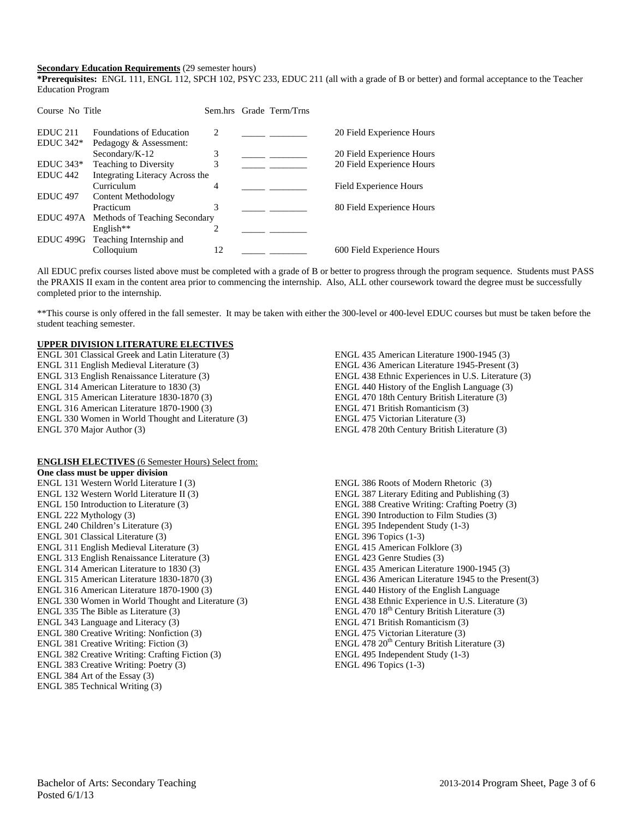#### **Secondary Education Requirements** (29 semester hours)

**\*Prerequisites:** ENGL 111, ENGL 112, SPCH 102, PSYC 233, EDUC 211 (all with a grade of B or better) and formal acceptance to the Teacher Education Program

| Course No Title     |                                         |                             | Sem.hrs Grade Term/Trns |                            |
|---------------------|-----------------------------------------|-----------------------------|-------------------------|----------------------------|
| EDUC <sub>211</sub> | <b>Foundations of Education</b>         | $\mathcal{D}_{\mathcal{L}}$ |                         | 20 Field Experience Hours  |
| $EDUC 342*$         | Pedagogy & Assessment:                  |                             |                         |                            |
|                     | Secondary/K-12                          | 3                           |                         | 20 Field Experience Hours  |
| $EDUC 343*$         | Teaching to Diversity                   | 3                           |                         | 20 Field Experience Hours  |
| EDUC <sub>442</sub> | Integrating Literacy Across the         |                             |                         |                            |
|                     | Curriculum                              | 4                           |                         | Field Experience Hours     |
| <b>EDUC 497</b>     | Content Methodology                     |                             |                         |                            |
|                     | Practicum                               | 3                           |                         | 80 Field Experience Hours  |
|                     | EDUC 497A Methods of Teaching Secondary |                             |                         |                            |
|                     | English**                               | 2                           |                         |                            |
|                     | EDUC 499G Teaching Internship and       |                             |                         |                            |
|                     | Colloquium                              | 12                          |                         | 600 Field Experience Hours |

All EDUC prefix courses listed above must be completed with a grade of B or better to progress through the program sequence. Students must PASS the PRAXIS II exam in the content area prior to commencing the internship. Also, ALL other coursework toward the degree must be successfully completed prior to the internship.

\*\*This course is only offered in the fall semester. It may be taken with either the 300-level or 400-level EDUC courses but must be taken before the student teaching semester.

#### **UPPER DIVISION LITERATURE ELECTIVES**

ENGL 301 Classical Greek and Latin Literature (3) ENGL 311 English Medieval Literature (3) ENGL 313 English Renaissance Literature (3) ENGL 314 American Literature to 1830 (3) ENGL 315 American Literature 1830-1870 (3) ENGL 316 American Literature 1870-1900 (3) ENGL 330 Women in World Thought and Literature (3) ENGL 370 Major Author (3)

#### **ENGLISH ELECTIVES** (6 Semester Hours) Select from:

**One class must be upper division**  ENGL 131 Western World Literature I (3) ENGL 132 Western World Literature II (3) ENGL 150 Introduction to Literature (3) ENGL 222 Mythology (3) ENGL 240 Children's Literature (3) ENGL 301 Classical Literature (3) ENGL 311 English Medieval Literature (3) ENGL 313 English Renaissance Literature (3) ENGL 314 American Literature to 1830 (3) ENGL 315 American Literature 1830-1870 (3) ENGL 316 American Literature 1870-1900 (3) ENGL 330 Women in World Thought and Literature (3) ENGL 335 The Bible as Literature (3) ENGL 343 Language and Literacy (3) ENGL 380 Creative Writing: Nonfiction (3) ENGL 381 Creative Writing: Fiction (3) ENGL 382 Creative Writing: Crafting Fiction (3) ENGL 383 Creative Writing: Poetry (3) ENGL 384 Art of the Essay (3) ENGL 385 Technical Writing (3)

ENGL 435 American Literature 1900-1945 (3) ENGL 436 American Literature 1945-Present (3) ENGL 438 Ethnic Experiences in U.S. Literature (3) ENGL 440 History of the English Language (3) ENGL 470 18th Century British Literature (3) ENGL 471 British Romanticism (3) ENGL 475 Victorian Literature (3) ENGL 478 20th Century British Literature (3)

ENGL 386 Roots of Modern Rhetoric (3) ENGL 387 Literary Editing and Publishing (3) ENGL 388 Creative Writing: Crafting Poetry (3) ENGL 390 Introduction to Film Studies (3) ENGL 395 Independent Study (1-3) ENGL 396 Topics (1-3) ENGL 415 American Folklore (3) ENGL 423 Genre Studies (3) ENGL 435 American Literature 1900-1945 (3) ENGL 436 American Literature 1945 to the Present(3) ENGL 440 History of the English Language ENGL 438 Ethnic Experience in U.S. Literature (3) ENGL 470  $18<sup>th</sup>$  Century British Literature (3) ENGL 471 British Romanticism (3) ENGL 475 Victorian Literature (3) ENGL 478  $20<sup>th</sup>$  Century British Literature (3) ENGL 495 Independent Study (1-3) ENGL 496 Topics (1-3)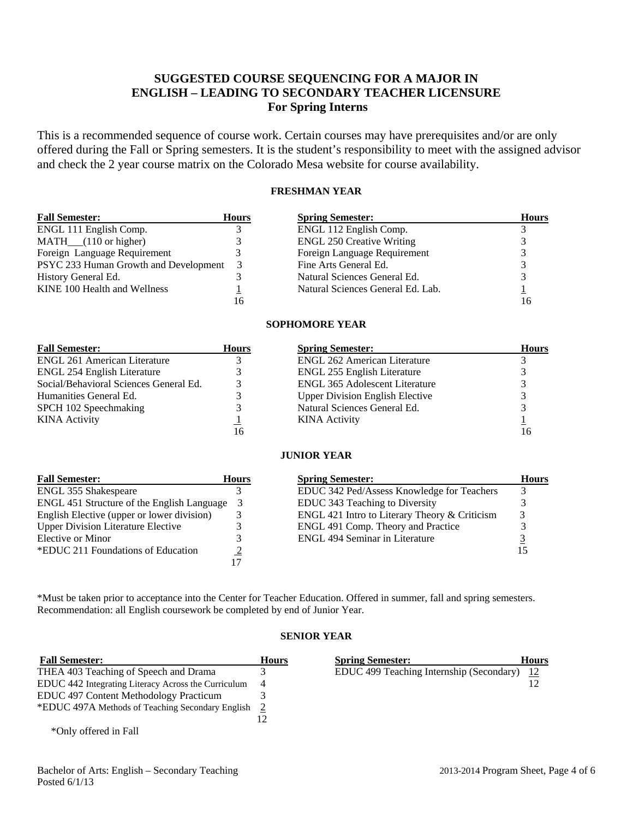# **SUGGESTED COURSE SEQUENCING FOR A MAJOR IN ENGLISH – LEADING TO SECONDARY TEACHER LICENSURE For Spring Interns**

This is a recommended sequence of course work. Certain courses may have prerequisites and/or are only offered during the Fall or Spring semesters. It is the student's responsibility to meet with the assigned advisor and check the 2 year course matrix on the Colorado Mesa website for course availability.

## **FRESHMAN YEAR**

| <b>Fall Semester:</b>                 | <b>Hours</b> | <b>Spring Semester:</b>           | <b>Hours</b> |
|---------------------------------------|--------------|-----------------------------------|--------------|
| ENGL 111 English Comp.                |              | ENGL 112 English Comp.            |              |
| $MATH$ <sub>(110</sub> or higher)     |              | <b>ENGL 250 Creative Writing</b>  |              |
| Foreign Language Requirement          |              | Foreign Language Requirement      |              |
| PSYC 233 Human Growth and Development | 3            | Fine Arts General Ed.             |              |
| History General Ed.                   |              | Natural Sciences General Ed.      |              |
| KINE 100 Health and Wellness          |              | Natural Sciences General Ed. Lab. |              |
|                                       | 16           |                                   |              |

## **SOPHOMORE YEAR**

| <b>Fall Semester:</b>                  | <b>Hours</b> | <b>Spring Semester:</b>                | <b>Hours</b> |
|----------------------------------------|--------------|----------------------------------------|--------------|
| <b>ENGL 261 American Literature</b>    |              | <b>ENGL 262 American Literature</b>    |              |
| ENGL 254 English Literature            |              | ENGL 255 English Literature            |              |
| Social/Behavioral Sciences General Ed. |              | <b>ENGL 365 Adolescent Literature</b>  |              |
| Humanities General Ed.                 |              | <b>Upper Division English Elective</b> |              |
| SPCH 102 Speechmaking                  |              | Natural Sciences General Ed.           |              |
| <b>KINA Activity</b>                   |              | <b>KINA</b> Activity                   |              |
|                                        | 16           |                                        |              |

## **JUNIOR YEAR**

| <b>Fall Semester:</b>                      | <b>Hours</b> | <b>Spring Semester:</b>                       | <b>Hours</b> |
|--------------------------------------------|--------------|-----------------------------------------------|--------------|
| <b>ENGL 355 Shakespeare</b>                |              | EDUC 342 Ped/Assess Knowledge for Teachers    |              |
| ENGL 451 Structure of the English Language |              | EDUC 343 Teaching to Diversity                |              |
| English Elective (upper or lower division) |              | ENGL 421 Intro to Literary Theory & Criticism |              |
| <b>Upper Division Literature Elective</b>  |              | ENGL 491 Comp. Theory and Practice            |              |
| Elective or Minor                          |              | <b>ENGL 494 Seminar in Literature</b>         |              |
| *EDUC 211 Foundations of Education         |              |                                               |              |
|                                            |              |                                               |              |

\*Must be taken prior to acceptance into the Center for Teacher Education. Offered in summer, fall and spring semesters. Recommendation: all English coursework be completed by end of Junior Year.

## **SENIOR YEAR**

| <b>Fall Semester:</b>                               | <b>Hours</b>   | <b>Spring Semester:</b>                  | <b>Hours</b> |
|-----------------------------------------------------|----------------|------------------------------------------|--------------|
| THEA 403 Teaching of Speech and Drama               |                | EDUC 499 Teaching Internship (Secondary) | <u>12</u>    |
| EDUC 442 Integrating Literacy Across the Curriculum | $\overline{4}$ |                                          |              |
| <b>EDUC</b> 497 Content Methodology Practicum       |                |                                          |              |
| *EDUC 497A Methods of Teaching Secondary English 2  |                |                                          |              |
|                                                     |                |                                          |              |
| *Only offered in Fall                               |                |                                          |              |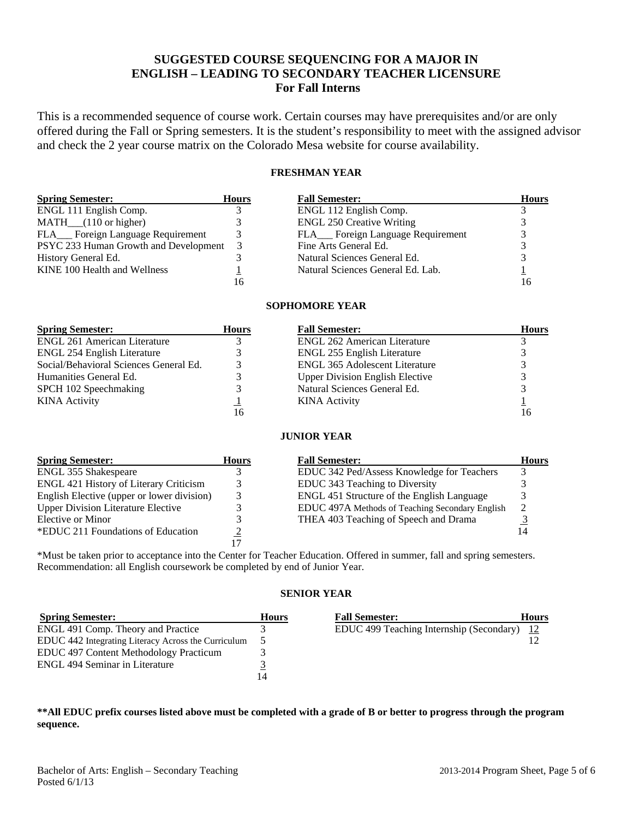# **SUGGESTED COURSE SEQUENCING FOR A MAJOR IN ENGLISH – LEADING TO SECONDARY TEACHER LICENSURE For Fall Interns**

This is a recommended sequence of course work. Certain courses may have prerequisites and/or are only offered during the Fall or Spring semesters. It is the student's responsibility to meet with the assigned advisor and check the 2 year course matrix on the Colorado Mesa website for course availability.

# **FRESHMAN YEAR**

| <b>Spring Semester:</b>               | <b>Hours</b> | <b>Fall Semester:</b>               | <b>Hours</b> |
|---------------------------------------|--------------|-------------------------------------|--------------|
| ENGL 111 English Comp.                |              | ENGL 112 English Comp.              |              |
| $MATH$ <sub>(110</sub> or higher)     |              | <b>ENGL 250 Creative Writing</b>    |              |
| FLA___ Foreign Language Requirement   |              | FLA___ Foreign Language Requirement |              |
| PSYC 233 Human Growth and Development | -3           | Fine Arts General Ed.               |              |
| History General Ed.                   |              | Natural Sciences General Ed.        |              |
| KINE 100 Health and Wellness          |              | Natural Sciences General Ed. Lab.   |              |
|                                       | 16           |                                     |              |

## **SOPHOMORE YEAR**

| <b>Spring Semester:</b>                | <b>Hours</b> | <b>Fall Semester:</b>                  | <b>Hours</b> |
|----------------------------------------|--------------|----------------------------------------|--------------|
| <b>ENGL 261 American Literature</b>    |              | <b>ENGL 262 American Literature</b>    |              |
| ENGL 254 English Literature            |              | ENGL 255 English Literature            |              |
| Social/Behavioral Sciences General Ed. |              | <b>ENGL 365 Adolescent Literature</b>  |              |
| Humanities General Ed.                 |              | <b>Upper Division English Elective</b> |              |
| SPCH 102 Speechmaking                  |              | Natural Sciences General Ed.           |              |
| <b>KINA</b> Activity                   |              | <b>KINA</b> Activity                   |              |
|                                        | 16           |                                        |              |

## **JUNIOR YEAR**

| <b>Spring Semester:</b>                       | <b>Hours</b> | <b>Fall Semester:</b>                           | <b>Hours</b> |
|-----------------------------------------------|--------------|-------------------------------------------------|--------------|
| <b>ENGL 355 Shakespeare</b>                   |              | EDUC 342 Ped/Assess Knowledge for Teachers      |              |
| <b>ENGL 421 History of Literary Criticism</b> |              | EDUC 343 Teaching to Diversity                  |              |
| English Elective (upper or lower division)    |              | ENGL 451 Structure of the English Language      |              |
| <b>Upper Division Literature Elective</b>     |              | EDUC 497A Methods of Teaching Secondary English |              |
| Elective or Minor                             |              | THEA 403 Teaching of Speech and Drama           |              |
| *EDUC 211 Foundations of Education            |              |                                                 |              |
|                                               |              |                                                 |              |

\*Must be taken prior to acceptance into the Center for Teacher Education. Offered in summer, fall and spring semesters. Recommendation: all English coursework be completed by end of Junior Year.

# **SENIOR YEAR**

| <b>Spring Semester:</b>                             | <b>Hours</b> | <b>Fall Semester:</b>                       | <b>Hours</b> |
|-----------------------------------------------------|--------------|---------------------------------------------|--------------|
| ENGL 491 Comp. Theory and Practice                  |              | EDUC 499 Teaching Internship (Secondary) 12 |              |
| EDUC 442 Integrating Literacy Across the Curriculum |              |                                             |              |
| EDUC 497 Content Methodology Practicum              |              |                                             |              |
| <b>ENGL 494 Seminar in Literature</b>               |              |                                             |              |
|                                                     |              |                                             |              |

## **\*\*All EDUC prefix courses listed above must be completed with a grade of B or better to progress through the program sequence.**